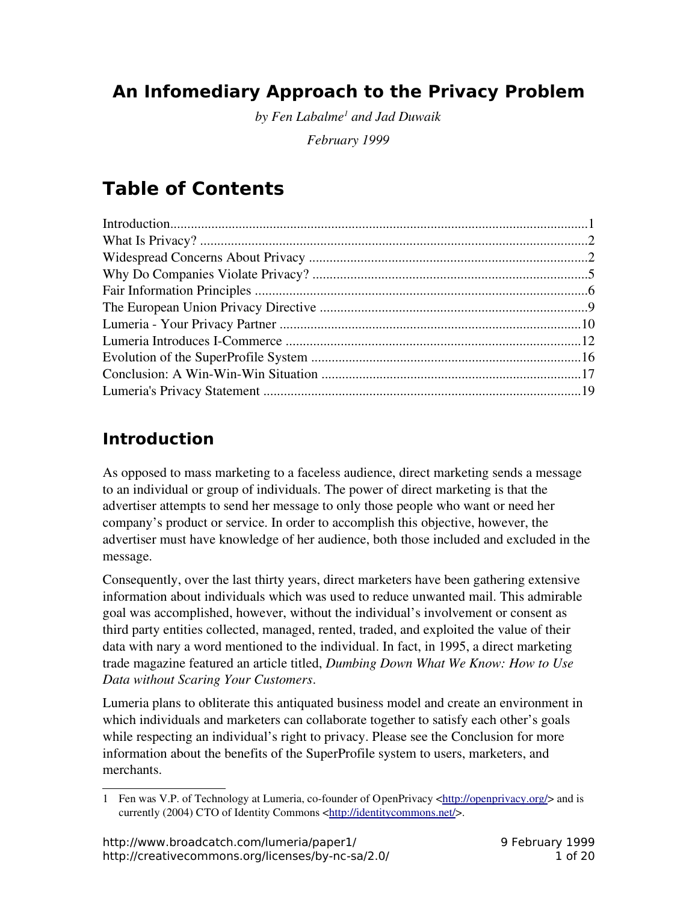# **An Infomediary Approach to the Privacy Problem**

*by Fen Labalme<sup>1</sup> and Jad Duwaik February 1999*

# **Table of Contents**

# **Introduction**

As opposed to mass marketing to a faceless audience, direct marketing sends a message to an individual or group of individuals. The power of direct marketing is that the advertiser attempts to send her message to only those people who want or need her company's product or service. In order to accomplish this objective, however, the advertiser must have knowledge of her audience, both those included and excluded in the message.

Consequently, over the last thirty years, direct marketers have been gathering extensive information about individuals which was used to reduce unwanted mail. This admirable goal was accomplished, however, without the individual's involvement or consent as third party entities collected, managed, rented, traded, and exploited the value of their data with nary a word mentioned to the individual. In fact, in 1995, a direct marketing trade magazine featured an article titled, *Dumbing Down What We Know: How to Use Data without Scaring Your Customers*.

Lumeria plans to obliterate this antiquated business model and create an environment in which individuals and marketers can collaborate together to satisfy each other's goals while respecting an individual's right to privacy. Please see the Conclusion for more information about the benefits of the SuperProfile system to users, marketers, and merchants.

<sup>1</sup> Fen was V.P. of Technology at Lumeria, co-founder of OpenPrivacy <http://openprivacy.org/> and is currently (2004) CTO of Identity Commons <http://identitycommons.net/>.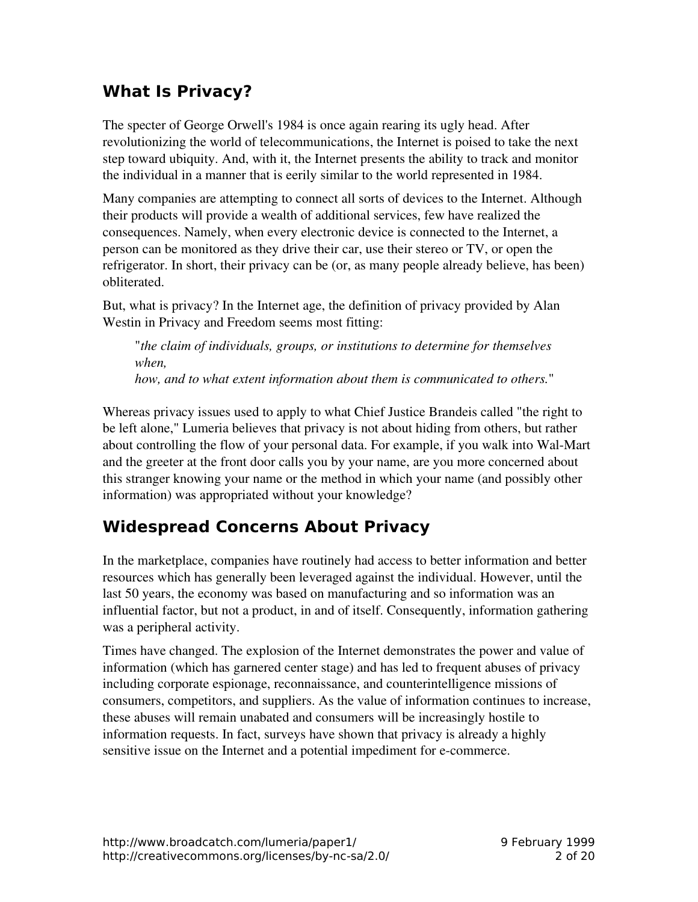## **What Is Privacy?**

The specter of George Orwell's 1984 is once again rearing its ugly head. After revolutionizing the world of telecommunications, the Internet is poised to take the next step toward ubiquity. And, with it, the Internet presents the ability to track and monitor the individual in a manner that is eerily similar to the world represented in 1984.

Many companies are attempting to connect all sorts of devices to the Internet. Although their products will provide a wealth of additional services, few have realized the consequences. Namely, when every electronic device is connected to the Internet, a person can be monitored as they drive their car, use their stereo or TV, or open the refrigerator. In short, their privacy can be (or, as many people already believe, has been) obliterated.

But, what is privacy? In the Internet age, the definition of privacy provided by Alan Westin in Privacy and Freedom seems most fitting:

"*the claim of individuals, groups, or institutions to determine for themselves when, how, and to what extent information about them is communicated to others.*"

Whereas privacy issues used to apply to what Chief Justice Brandeis called "the right to be left alone," Lumeria believes that privacy is not about hiding from others, but rather about controlling the flow of your personal data. For example, if you walk into Wal-Mart and the greeter at the front door calls you by your name, are you more concerned about this stranger knowing your name or the method in which your name (and possibly other information) was appropriated without your knowledge?

### **Widespread Concerns About Privacy**

In the marketplace, companies have routinely had access to better information and better resources which has generally been leveraged against the individual. However, until the last 50 years, the economy was based on manufacturing and so information was an influential factor, but not a product, in and of itself. Consequently, information gathering was a peripheral activity.

Times have changed. The explosion of the Internet demonstrates the power and value of information (which has garnered center stage) and has led to frequent abuses of privacy including corporate espionage, reconnaissance, and counterintelligence missions of consumers, competitors, and suppliers. As the value of information continues to increase, these abuses will remain unabated and consumers will be increasingly hostile to information requests. In fact, surveys have shown that privacy is already a highly sensitive issue on the Internet and a potential impediment for e-commerce.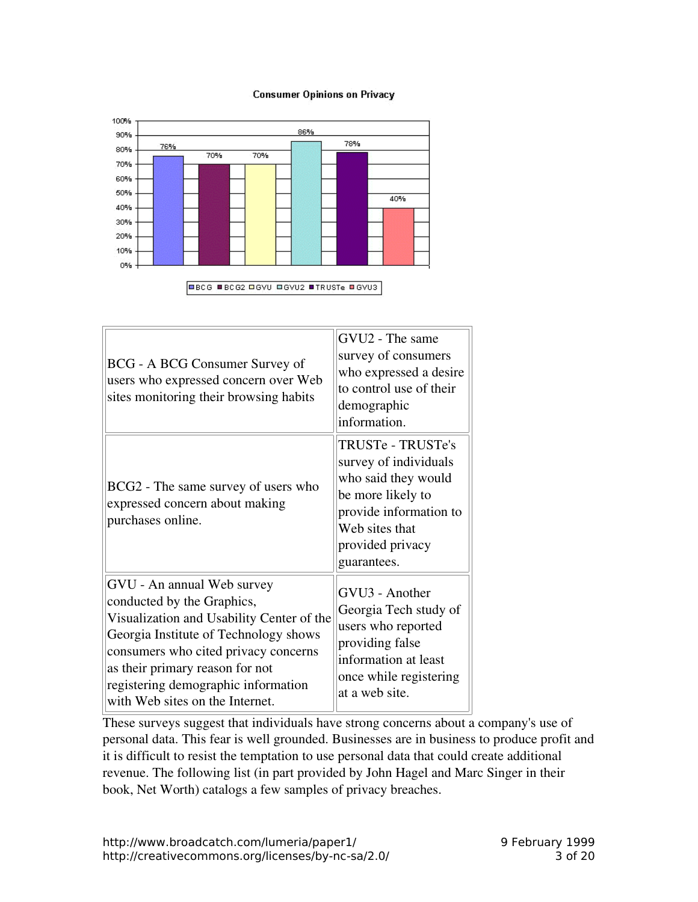#### **Consumer Opinions on Privacy**



| BCG - A BCG Consumer Survey of<br>users who expressed concern over Web<br>sites monitoring their browsing habits                                                                                                                                                                                    | GVU2 - The same<br>survey of consumers<br>who expressed a desire<br>to control use of their<br>demographic<br>information.                                            |
|-----------------------------------------------------------------------------------------------------------------------------------------------------------------------------------------------------------------------------------------------------------------------------------------------------|-----------------------------------------------------------------------------------------------------------------------------------------------------------------------|
| BCG2 - The same survey of users who<br>expressed concern about making<br>purchases online.                                                                                                                                                                                                          | TRUSTe - TRUSTe's<br>survey of individuals<br>who said they would<br>be more likely to<br>provide information to<br>Web sites that<br>provided privacy<br>guarantees. |
| GVU - An annual Web survey<br>conducted by the Graphics,<br>Visualization and Usability Center of the<br>Georgia Institute of Technology shows<br>consumers who cited privacy concerns<br>as their primary reason for not<br>registering demographic information<br>with Web sites on the Internet. | GVU3 - Another<br>Georgia Tech study of<br>users who reported<br>providing false<br>information at least<br>once while registering<br>at a web site.                  |

These surveys suggest that individuals have strong concerns about a company's use of personal data. This fear is well grounded. Businesses are in business to produce profit and it is difficult to resist the temptation to use personal data that could create additional revenue. The following list (in part provided by John Hagel and Marc Singer in their book, Net Worth) catalogs a few samples of privacy breaches.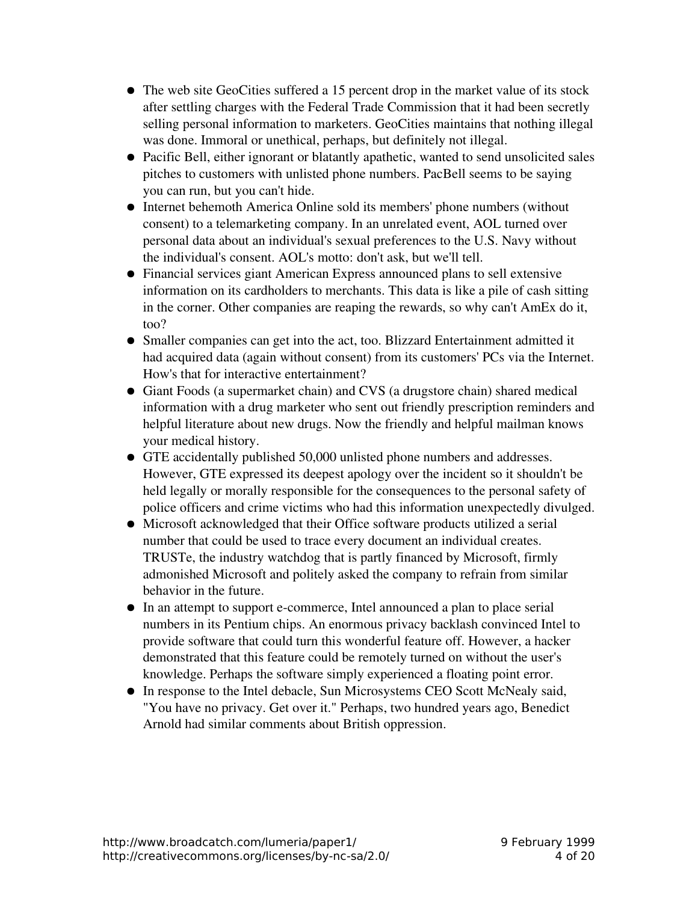- The web site GeoCities suffered a 15 percent drop in the market value of its stock after settling charges with the Federal Trade Commission that it had been secretly selling personal information to marketers. GeoCities maintains that nothing illegal was done. Immoral or unethical, perhaps, but definitely not illegal.
- Pacific Bell, either ignorant or blatantly apathetic, wanted to send unsolicited sales pitches to customers with unlisted phone numbers. PacBell seems to be saying you can run, but you can't hide.
- Internet behemoth America Online sold its members' phone numbers (without consent) to a telemarketing company. In an unrelated event, AOL turned over personal data about an individual's sexual preferences to the U.S. Navy without the individual's consent. AOL's motto: don't ask, but we'll tell.
- Financial services giant American Express announced plans to sell extensive information on its cardholders to merchants. This data is like a pile of cash sitting in the corner. Other companies are reaping the rewards, so why can't AmEx do it, too?
- Smaller companies can get into the act, too. Blizzard Entertainment admitted it had acquired data (again without consent) from its customers' PCs via the Internet. How's that for interactive entertainment?
- Giant Foods (a supermarket chain) and CVS (a drugstore chain) shared medical information with a drug marketer who sent out friendly prescription reminders and helpful literature about new drugs. Now the friendly and helpful mailman knows your medical history.
- GTE accidentally published 50,000 unlisted phone numbers and addresses. However, GTE expressed its deepest apology over the incident so it shouldn't be held legally or morally responsible for the consequences to the personal safety of police officers and crime victims who had this information unexpectedly divulged.
- Microsoft acknowledged that their Office software products utilized a serial number that could be used to trace every document an individual creates. TRUSTe, the industry watchdog that is partly financed by Microsoft, firmly admonished Microsoft and politely asked the company to refrain from similar behavior in the future.
- In an attempt to support ecommerce, Intel announced a plan to place serial numbers in its Pentium chips. An enormous privacy backlash convinced Intel to provide software that could turn this wonderful feature off. However, a hacker demonstrated that this feature could be remotely turned on without the user's knowledge. Perhaps the software simply experienced a floating point error.
- In response to the Intel debacle, Sun Microsystems CEO Scott McNealy said, "You have no privacy. Get over it." Perhaps, two hundred years ago, Benedict Arnold had similar comments about British oppression.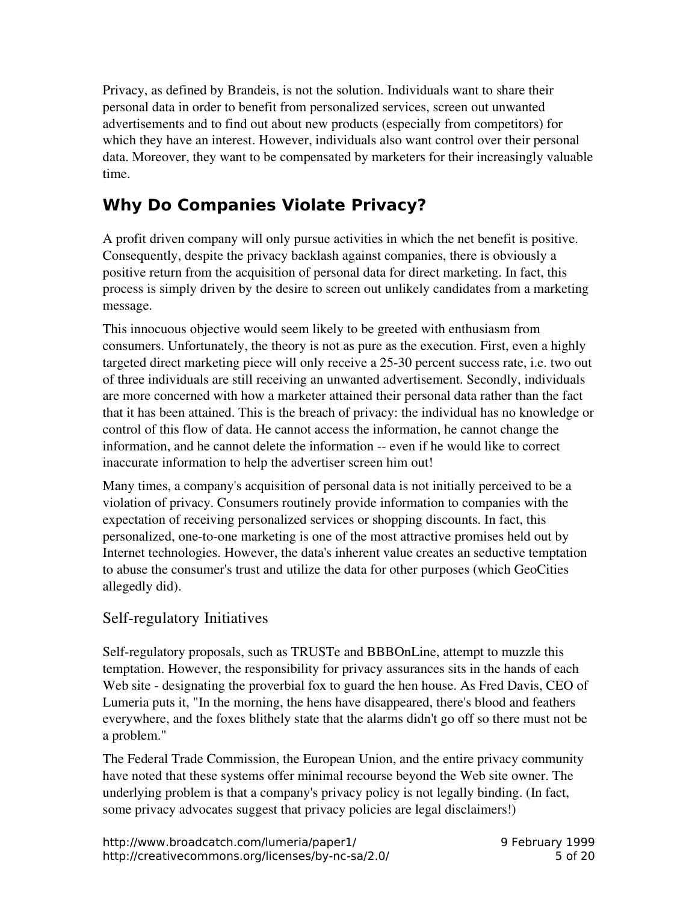Privacy, as defined by Brandeis, is not the solution. Individuals want to share their personal data in order to benefit from personalized services, screen out unwanted advertisements and to find out about new products (especially from competitors) for which they have an interest. However, individuals also want control over their personal data. Moreover, they want to be compensated by marketers for their increasingly valuable time.

# **Why Do Companies Violate Privacy?**

A profit driven company will only pursue activities in which the net benefit is positive. Consequently, despite the privacy backlash against companies, there is obviously a positive return from the acquisition of personal data for direct marketing. In fact, this process is simply driven by the desire to screen out unlikely candidates from a marketing message.

This innocuous objective would seem likely to be greeted with enthusiasm from consumers. Unfortunately, the theory is not as pure as the execution. First, even a highly targeted direct marketing piece will only receive a 2530 percent success rate, i.e. two out of three individuals are still receiving an unwanted advertisement. Secondly, individuals are more concerned with how a marketer attained their personal data rather than the fact that it has been attained. This is the breach of privacy: the individual has no knowledge or control of this flow of data. He cannot access the information, he cannot change the information, and he cannot delete the information -- even if he would like to correct inaccurate information to help the advertiser screen him out!

Many times, a company's acquisition of personal data is not initially perceived to be a violation of privacy. Consumers routinely provide information to companies with the expectation of receiving personalized services or shopping discounts. In fact, this personalized, one-to-one marketing is one of the most attractive promises held out by Internet technologies. However, the data's inherent value creates an seductive temptation to abuse the consumer's trust and utilize the data for other purposes (which GeoCities allegedly did).

### Self-regulatory Initiatives

Self-regulatory proposals, such as TRUSTe and BBBOnLine, attempt to muzzle this temptation. However, the responsibility for privacy assurances sits in the hands of each Web site - designating the proverbial fox to guard the hen house. As Fred Davis, CEO of Lumeria puts it, "In the morning, the hens have disappeared, there's blood and feathers everywhere, and the foxes blithely state that the alarms didn't go off so there must not be a problem."

The Federal Trade Commission, the European Union, and the entire privacy community have noted that these systems offer minimal recourse beyond the Web site owner. The underlying problem is that a company's privacy policy is not legally binding. (In fact, some privacy advocates suggest that privacy policies are legal disclaimers!)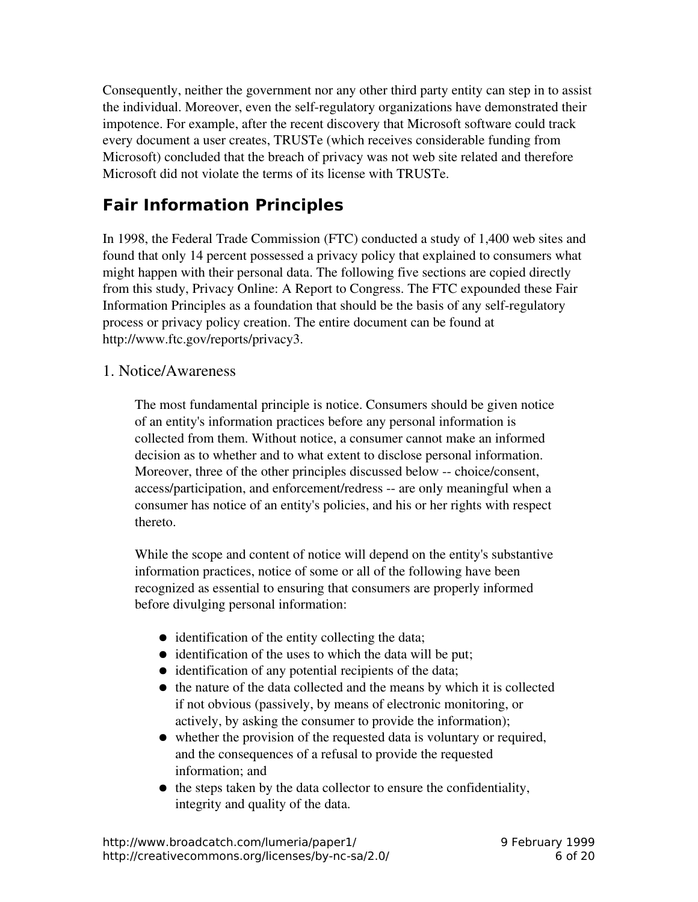Consequently, neither the government nor any other third party entity can step in to assist the individual. Moreover, even the self-regulatory organizations have demonstrated their impotence. For example, after the recent discovery that Microsoft software could track every document a user creates, TRUSTe (which receives considerable funding from Microsoft) concluded that the breach of privacy was not web site related and therefore Microsoft did not violate the terms of its license with TRUSTe.

# **Fair Information Principles**

In 1998, the Federal Trade Commission (FTC) conducted a study of 1,400 web sites and found that only 14 percent possessed a privacy policy that explained to consumers what might happen with their personal data. The following five sections are copied directly from this study, Privacy Online: A Report to Congress. The FTC expounded these Fair Information Principles as a foundation that should be the basis of any self-regulatory process or privacy policy creation. The entire document can be found at http://www.ftc.gov/reports/privacy3.

#### 1. Notice/Awareness

The most fundamental principle is notice. Consumers should be given notice of an entity's information practices before any personal information is collected from them. Without notice, a consumer cannot make an informed decision as to whether and to what extent to disclose personal information. Moreover, three of the other principles discussed below -- choice/consent, access/participation, and enforcement/redress -- are only meaningful when a consumer has notice of an entity's policies, and his or her rights with respect thereto.

While the scope and content of notice will depend on the entity's substantive information practices, notice of some or all of the following have been recognized as essential to ensuring that consumers are properly informed before divulging personal information:

- identification of the entity collecting the data;
- identification of the uses to which the data will be put;
- identification of any potential recipients of the data;
- the nature of the data collected and the means by which it is collected if not obvious (passively, by means of electronic monitoring, or actively, by asking the consumer to provide the information);
- whether the provision of the requested data is voluntary or required, and the consequences of a refusal to provide the requested information; and
- the steps taken by the data collector to ensure the confidentiality, integrity and quality of the data.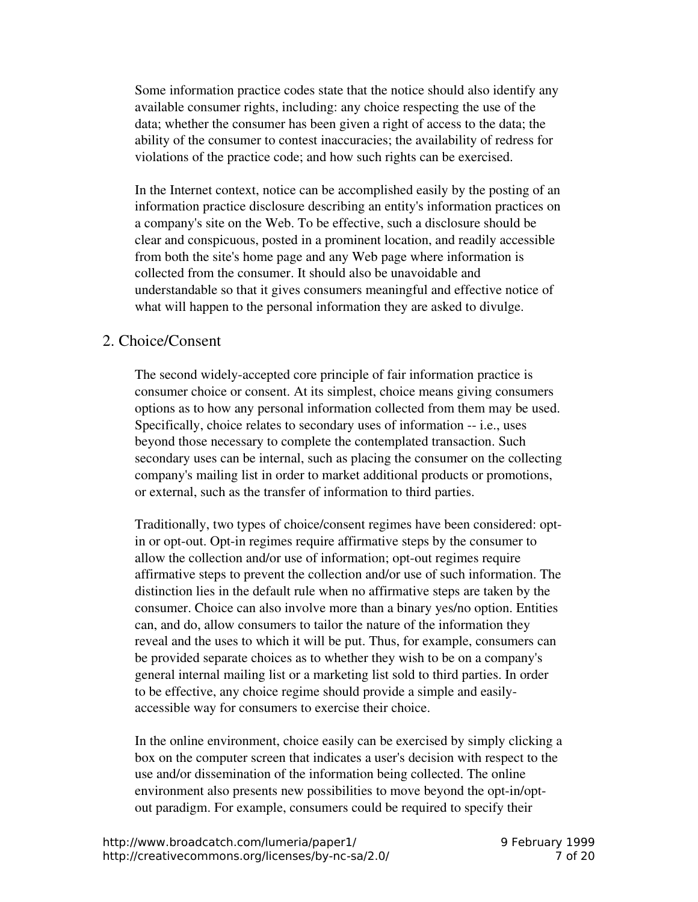Some information practice codes state that the notice should also identify any available consumer rights, including: any choice respecting the use of the data; whether the consumer has been given a right of access to the data; the ability of the consumer to contest inaccuracies; the availability of redress for violations of the practice code; and how such rights can be exercised.

In the Internet context, notice can be accomplished easily by the posting of an information practice disclosure describing an entity's information practices on a company's site on the Web. To be effective, such a disclosure should be clear and conspicuous, posted in a prominent location, and readily accessible from both the site's home page and any Web page where information is collected from the consumer. It should also be unavoidable and understandable so that it gives consumers meaningful and effective notice of what will happen to the personal information they are asked to divulge.

#### 2. Choice/Consent

The second widely-accepted core principle of fair information practice is consumer choice or consent. At its simplest, choice means giving consumers options as to how any personal information collected from them may be used. Specifically, choice relates to secondary uses of information -- i.e., uses beyond those necessary to complete the contemplated transaction. Such secondary uses can be internal, such as placing the consumer on the collecting company's mailing list in order to market additional products or promotions, or external, such as the transfer of information to third parties.

Traditionally, two types of choice/consent regimes have been considered: optin or opt-out. Opt-in regimes require affirmative steps by the consumer to allow the collection and/or use of information; opt-out regimes require affirmative steps to prevent the collection and/or use of such information. The distinction lies in the default rule when no affirmative steps are taken by the consumer. Choice can also involve more than a binary yes/no option. Entities can, and do, allow consumers to tailor the nature of the information they reveal and the uses to which it will be put. Thus, for example, consumers can be provided separate choices as to whether they wish to be on a company's general internal mailing list or a marketing list sold to third parties. In order to be effective, any choice regime should provide a simple and easilyaccessible way for consumers to exercise their choice.

In the online environment, choice easily can be exercised by simply clicking a box on the computer screen that indicates a user's decision with respect to the use and/or dissemination of the information being collected. The online environment also presents new possibilities to move beyond the opt-in/optout paradigm. For example, consumers could be required to specify their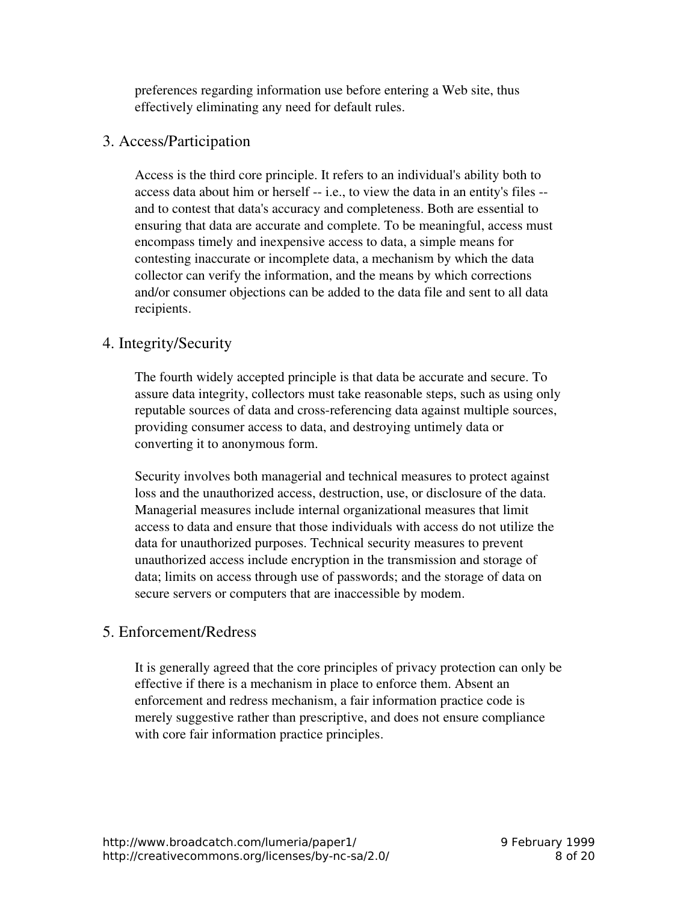preferences regarding information use before entering a Web site, thus effectively eliminating any need for default rules.

#### 3. Access/Participation

Access is the third core principle. It refers to an individual's ability both to access data about him or herself -- i.e., to view the data in an entity's files -and to contest that data's accuracy and completeness. Both are essential to ensuring that data are accurate and complete. To be meaningful, access must encompass timely and inexpensive access to data, a simple means for contesting inaccurate or incomplete data, a mechanism by which the data collector can verify the information, and the means by which corrections and/or consumer objections can be added to the data file and sent to all data recipients.

#### 4. Integrity/Security

The fourth widely accepted principle is that data be accurate and secure. To assure data integrity, collectors must take reasonable steps, such as using only reputable sources of data and cross-referencing data against multiple sources, providing consumer access to data, and destroying untimely data or converting it to anonymous form.

Security involves both managerial and technical measures to protect against loss and the unauthorized access, destruction, use, or disclosure of the data. Managerial measures include internal organizational measures that limit access to data and ensure that those individuals with access do not utilize the data for unauthorized purposes. Technical security measures to prevent unauthorized access include encryption in the transmission and storage of data; limits on access through use of passwords; and the storage of data on secure servers or computers that are inaccessible by modem.

#### 5. Enforcement/Redress

It is generally agreed that the core principles of privacy protection can only be effective if there is a mechanism in place to enforce them. Absent an enforcement and redress mechanism, a fair information practice code is merely suggestive rather than prescriptive, and does not ensure compliance with core fair information practice principles.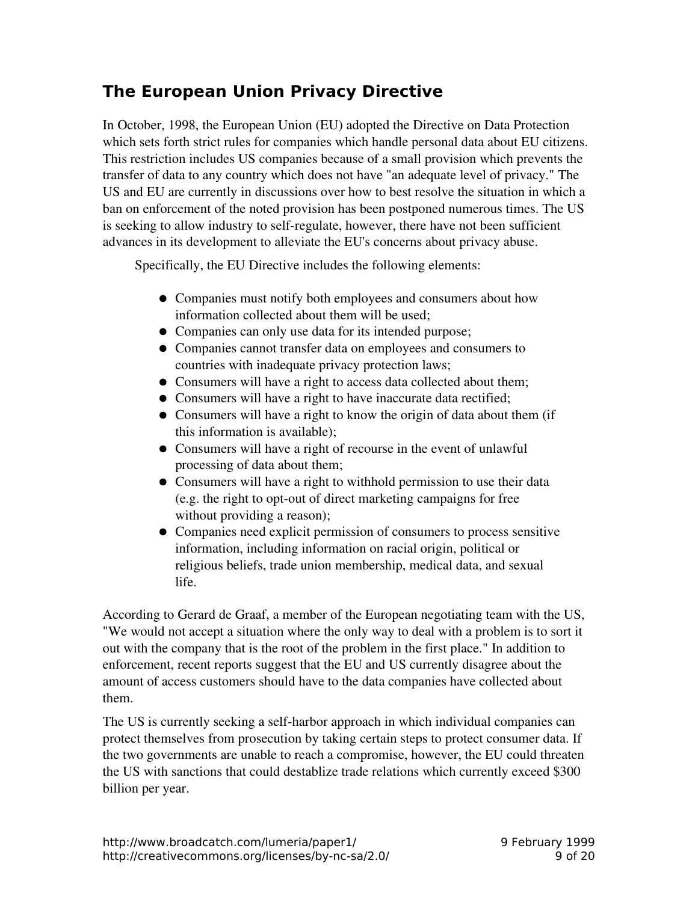### **The European Union Privacy Directive**

In October, 1998, the European Union (EU) adopted the Directive on Data Protection which sets forth strict rules for companies which handle personal data about EU citizens. This restriction includes US companies because of a small provision which prevents the transfer of data to any country which does not have "an adequate level of privacy." The US and EU are currently in discussions over how to best resolve the situation in which a ban on enforcement of the noted provision has been postponed numerous times. The US is seeking to allow industry to self-regulate, however, there have not been sufficient advances in its development to alleviate the EU's concerns about privacy abuse.

Specifically, the EU Directive includes the following elements:

- Companies must notify both employees and consumers about how information collected about them will be used;
- Companies can only use data for its intended purpose;
- Companies cannot transfer data on employees and consumers to countries with inadequate privacy protection laws;
- Consumers will have a right to access data collected about them;
- Consumers will have a right to have inaccurate data rectified;
- Consumers will have a right to know the origin of data about them (if this information is available);
- Consumers will have a right of recourse in the event of unlawful processing of data about them;
- Consumers will have a right to withhold permission to use their data (e.g. the right to opt-out of direct marketing campaigns for free without providing a reason);
- Companies need explicit permission of consumers to process sensitive information, including information on racial origin, political or religious beliefs, trade union membership, medical data, and sexual life.

According to Gerard de Graaf, a member of the European negotiating team with the US, "We would not accept a situation where the only way to deal with a problem is to sort it out with the company that is the root of the problem in the first place." In addition to enforcement, recent reports suggest that the EU and US currently disagree about the amount of access customers should have to the data companies have collected about them.

The US is currently seeking a self-harbor approach in which individual companies can protect themselves from prosecution by taking certain steps to protect consumer data. If the two governments are unable to reach a compromise, however, the EU could threaten the US with sanctions that could destablize trade relations which currently exceed \$300 billion per year.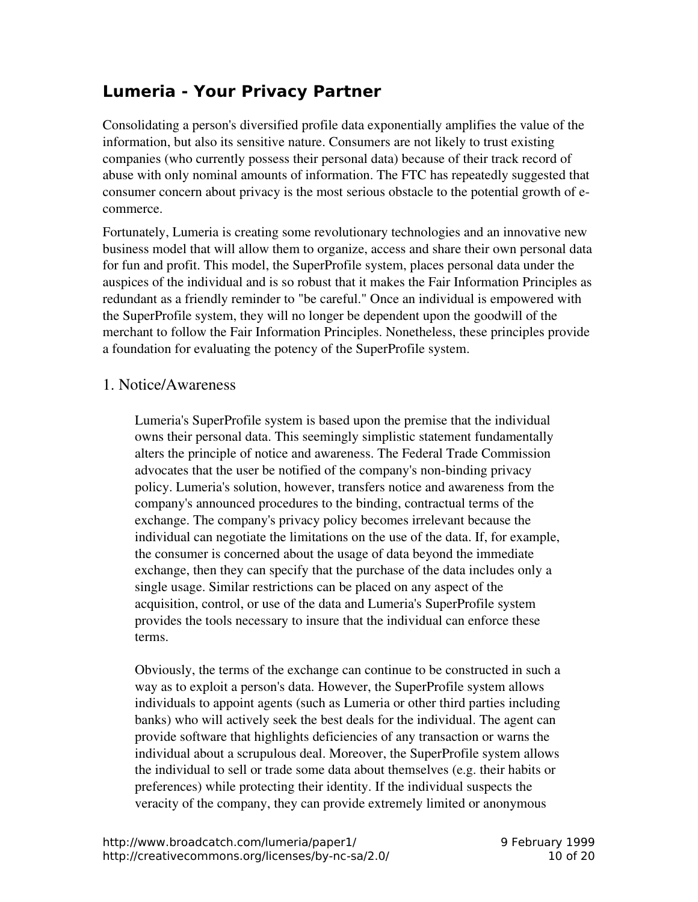### **Lumeria - Your Privacy Partner**

Consolidating a person's diversified profile data exponentially amplifies the value of the information, but also its sensitive nature. Consumers are not likely to trust existing companies (who currently possess their personal data) because of their track record of abuse with only nominal amounts of information. The FTC has repeatedly suggested that consumer concern about privacy is the most serious obstacle to the potential growth of ecommerce.

Fortunately, Lumeria is creating some revolutionary technologies and an innovative new business model that will allow them to organize, access and share their own personal data for fun and profit. This model, the SuperProfile system, places personal data under the auspices of the individual and is so robust that it makes the Fair Information Principles as redundant as a friendly reminder to "be careful." Once an individual is empowered with the SuperProfile system, they will no longer be dependent upon the goodwill of the merchant to follow the Fair Information Principles. Nonetheless, these principles provide a foundation for evaluating the potency of the SuperProfile system.

#### 1. Notice/Awareness

Lumeria's SuperProfile system is based upon the premise that the individual owns their personal data. This seemingly simplistic statement fundamentally alters the principle of notice and awareness. The Federal Trade Commission advocates that the user be notified of the company's non-binding privacy policy. Lumeria's solution, however, transfers notice and awareness from the company's announced procedures to the binding, contractual terms of the exchange. The company's privacy policy becomes irrelevant because the individual can negotiate the limitations on the use of the data. If, for example, the consumer is concerned about the usage of data beyond the immediate exchange, then they can specify that the purchase of the data includes only a single usage. Similar restrictions can be placed on any aspect of the acquisition, control, or use of the data and Lumeria's SuperProfile system provides the tools necessary to insure that the individual can enforce these terms.

Obviously, the terms of the exchange can continue to be constructed in such a way as to exploit a person's data. However, the SuperProfile system allows individuals to appoint agents (such as Lumeria or other third parties including banks) who will actively seek the best deals for the individual. The agent can provide software that highlights deficiencies of any transaction or warns the individual about a scrupulous deal. Moreover, the SuperProfile system allows the individual to sell or trade some data about themselves (e.g. their habits or preferences) while protecting their identity. If the individual suspects the veracity of the company, they can provide extremely limited or anonymous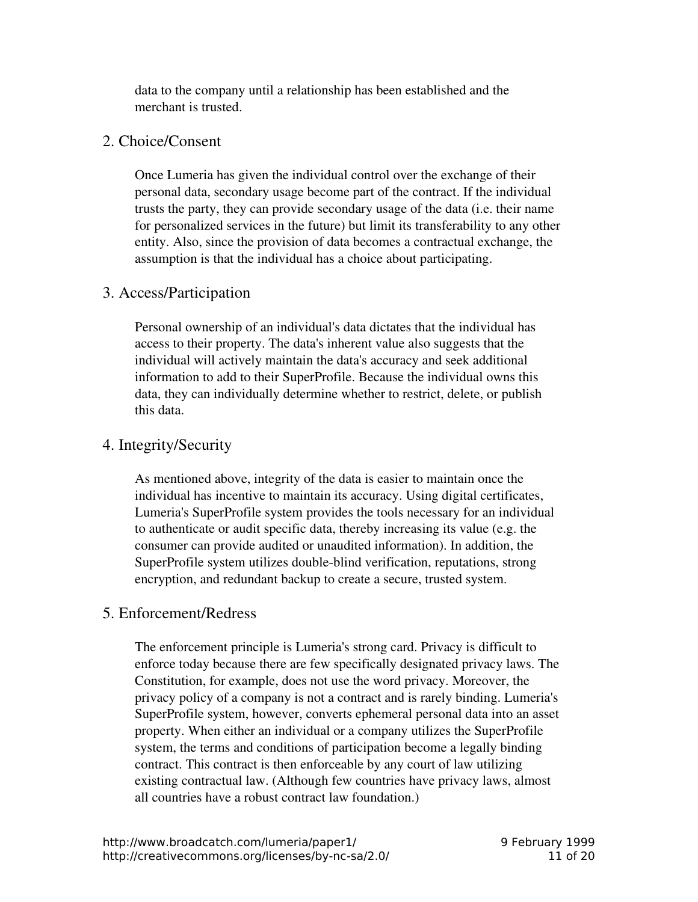data to the company until a relationship has been established and the merchant is trusted.

#### 2. Choice/Consent

Once Lumeria has given the individual control over the exchange of their personal data, secondary usage become part of the contract. If the individual trusts the party, they can provide secondary usage of the data (i.e. their name for personalized services in the future) but limit its transferability to any other entity. Also, since the provision of data becomes a contractual exchange, the assumption is that the individual has a choice about participating.

#### 3. Access/Participation

Personal ownership of an individual's data dictates that the individual has access to their property. The data's inherent value also suggests that the individual will actively maintain the data's accuracy and seek additional information to add to their SuperProfile. Because the individual owns this data, they can individually determine whether to restrict, delete, or publish this data.

#### 4. Integrity/Security

As mentioned above, integrity of the data is easier to maintain once the individual has incentive to maintain its accuracy. Using digital certificates, Lumeria's SuperProfile system provides the tools necessary for an individual to authenticate or audit specific data, thereby increasing its value (e.g. the consumer can provide audited or unaudited information). In addition, the SuperProfile system utilizes double-blind verification, reputations, strong encryption, and redundant backup to create a secure, trusted system.

#### 5. Enforcement/Redress

The enforcement principle is Lumeria's strong card. Privacy is difficult to enforce today because there are few specifically designated privacy laws. The Constitution, for example, does not use the word privacy. Moreover, the privacy policy of a company is not a contract and is rarely binding. Lumeria's SuperProfile system, however, converts ephemeral personal data into an asset property. When either an individual or a company utilizes the SuperProfile system, the terms and conditions of participation become a legally binding contract. This contract is then enforceable by any court of law utilizing existing contractual law. (Although few countries have privacy laws, almost all countries have a robust contract law foundation.)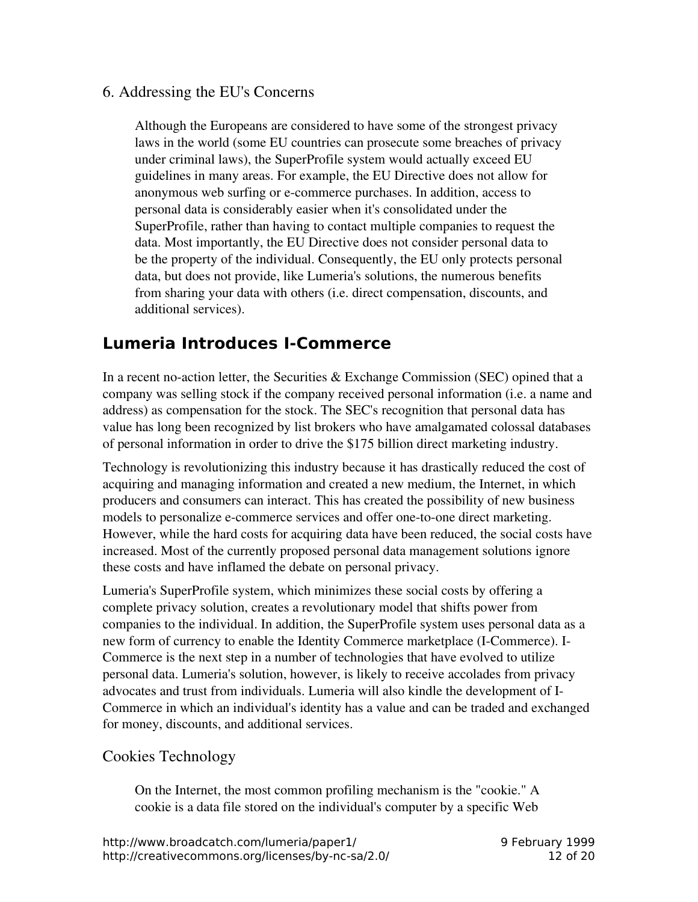#### 6. Addressing the EU's Concerns

Although the Europeans are considered to have some of the strongest privacy laws in the world (some EU countries can prosecute some breaches of privacy under criminal laws), the SuperProfile system would actually exceed EU guidelines in many areas. For example, the EU Directive does not allow for anonymous web surfing or ecommerce purchases. In addition, access to personal data is considerably easier when it's consolidated under the SuperProfile, rather than having to contact multiple companies to request the data. Most importantly, the EU Directive does not consider personal data to be the property of the individual. Consequently, the EU only protects personal data, but does not provide, like Lumeria's solutions, the numerous benefits from sharing your data with others (i.e. direct compensation, discounts, and additional services).

### **Lumeria Introduces I-Commerce**

In a recent no-action letter, the Securities  $&$  Exchange Commission (SEC) opined that a company was selling stock if the company received personal information (i.e. a name and address) as compensation for the stock. The SEC's recognition that personal data has value has long been recognized by list brokers who have amalgamated colossal databases of personal information in order to drive the \$175 billion direct marketing industry.

Technology is revolutionizing this industry because it has drastically reduced the cost of acquiring and managing information and created a new medium, the Internet, in which producers and consumers can interact. This has created the possibility of new business models to personalize e-commerce services and offer one-to-one direct marketing. However, while the hard costs for acquiring data have been reduced, the social costs have increased. Most of the currently proposed personal data management solutions ignore these costs and have inflamed the debate on personal privacy.

Lumeria's SuperProfile system, which minimizes these social costs by offering a complete privacy solution, creates a revolutionary model that shifts power from companies to the individual. In addition, the SuperProfile system uses personal data as a new form of currency to enable the Identity Commerce marketplace (I-Commerce). I-Commerce is the next step in a number of technologies that have evolved to utilize personal data. Lumeria's solution, however, is likely to receive accolades from privacy advocates and trust from individuals. Lumeria will also kindle the development of I-Commerce in which an individual's identity has a value and can be traded and exchanged for money, discounts, and additional services.

#### Cookies Technology

On the Internet, the most common profiling mechanism is the "cookie." A cookie is a data file stored on the individual's computer by a specific Web

http://www.broadcatch.com/lumeria/paper1/ 9 February 1999 http://creativecommons.org/licenses/by-nc-sa/2.0/ 12 06 20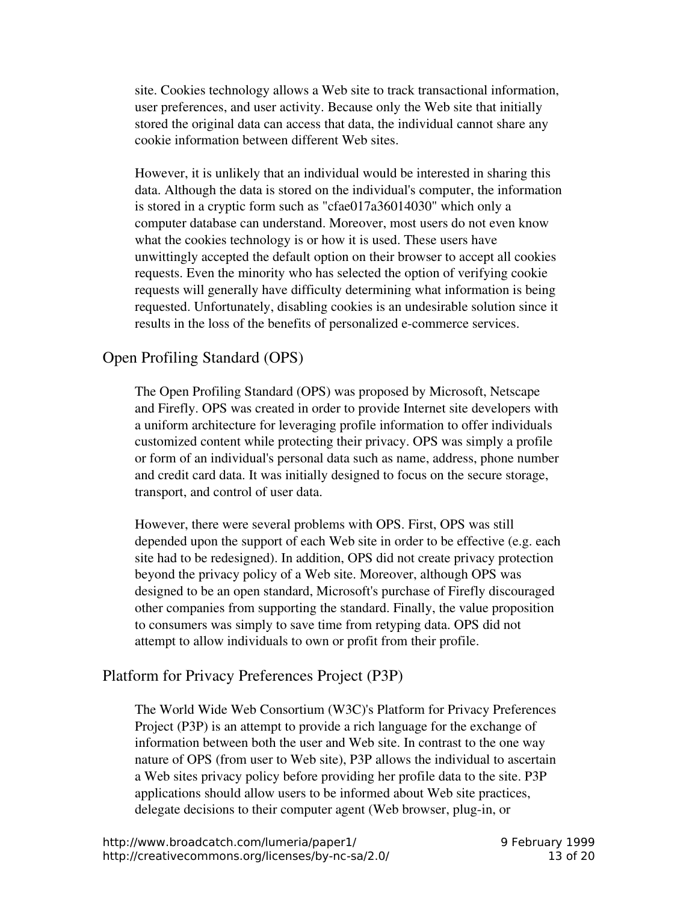site. Cookies technology allows a Web site to track transactional information, user preferences, and user activity. Because only the Web site that initially stored the original data can access that data, the individual cannot share any cookie information between different Web sites.

However, it is unlikely that an individual would be interested in sharing this data. Although the data is stored on the individual's computer, the information is stored in a cryptic form such as "cfae017a36014030" which only a computer database can understand. Moreover, most users do not even know what the cookies technology is or how it is used. These users have unwittingly accepted the default option on their browser to accept all cookies requests. Even the minority who has selected the option of verifying cookie requests will generally have difficulty determining what information is being requested. Unfortunately, disabling cookies is an undesirable solution since it results in the loss of the benefits of personalized e-commerce services.

#### Open Profiling Standard (OPS)

The Open Profiling Standard (OPS) was proposed by Microsoft, Netscape and Firefly. OPS was created in order to provide Internet site developers with a uniform architecture for leveraging profile information to offer individuals customized content while protecting their privacy. OPS was simply a profile or form of an individual's personal data such as name, address, phone number and credit card data. It was initially designed to focus on the secure storage, transport, and control of user data.

However, there were several problems with OPS. First, OPS was still depended upon the support of each Web site in order to be effective (e.g. each site had to be redesigned). In addition, OPS did not create privacy protection beyond the privacy policy of a Web site. Moreover, although OPS was designed to be an open standard, Microsoft's purchase of Firefly discouraged other companies from supporting the standard. Finally, the value proposition to consumers was simply to save time from retyping data. OPS did not attempt to allow individuals to own or profit from their profile.

#### Platform for Privacy Preferences Project (P3P)

The World Wide Web Consortium (W3C)'s Platform for Privacy Preferences Project (P3P) is an attempt to provide a rich language for the exchange of information between both the user and Web site. In contrast to the one way nature of OPS (from user to Web site), P3P allows the individual to ascertain a Web sites privacy policy before providing her profile data to the site. P3P applications should allow users to be informed about Web site practices, delegate decisions to their computer agent (Web browser, plug-in, or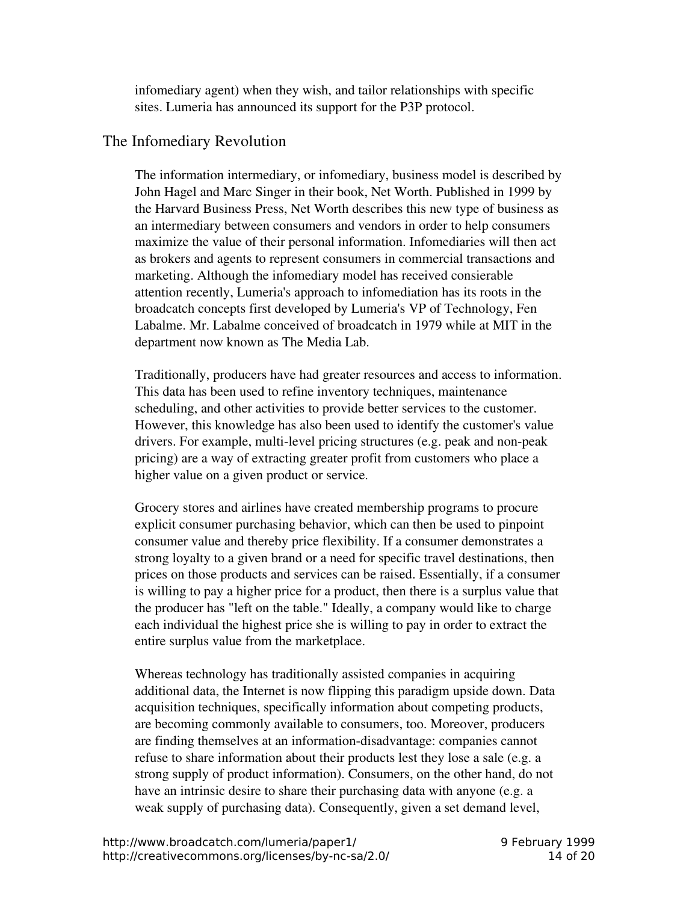infomediary agent) when they wish, and tailor relationships with specific sites. Lumeria has announced its support for the P3P protocol.

#### The Infomediary Revolution

The information intermediary, or infomediary, business model is described by John Hagel and Marc Singer in their book, Net Worth. Published in 1999 by the Harvard Business Press, Net Worth describes this new type of business as an intermediary between consumers and vendors in order to help consumers maximize the value of their personal information. Infomediaries will then act as brokers and agents to represent consumers in commercial transactions and marketing. Although the infomediary model has received consierable attention recently, Lumeria's approach to infomediation has its roots in the broadcatch concepts first developed by Lumeria's VP of Technology, Fen Labalme. Mr. Labalme conceived of broadcatch in 1979 while at MIT in the department now known as The Media Lab.

Traditionally, producers have had greater resources and access to information. This data has been used to refine inventory techniques, maintenance scheduling, and other activities to provide better services to the customer. However, this knowledge has also been used to identify the customer's value drivers. For example, multi-level pricing structures (e.g. peak and non-peak pricing) are a way of extracting greater profit from customers who place a higher value on a given product or service.

Grocery stores and airlines have created membership programs to procure explicit consumer purchasing behavior, which can then be used to pinpoint consumer value and thereby price flexibility. If a consumer demonstrates a strong loyalty to a given brand or a need for specific travel destinations, then prices on those products and services can be raised. Essentially, if a consumer is willing to pay a higher price for a product, then there is a surplus value that the producer has "left on the table." Ideally, a company would like to charge each individual the highest price she is willing to pay in order to extract the entire surplus value from the marketplace.

Whereas technology has traditionally assisted companies in acquiring additional data, the Internet is now flipping this paradigm upside down. Data acquisition techniques, specifically information about competing products, are becoming commonly available to consumers, too. Moreover, producers are finding themselves at an information-disadvantage: companies cannot refuse to share information about their products lest they lose a sale (e.g. a strong supply of product information). Consumers, on the other hand, do not have an intrinsic desire to share their purchasing data with anyone (e.g. a weak supply of purchasing data). Consequently, given a set demand level,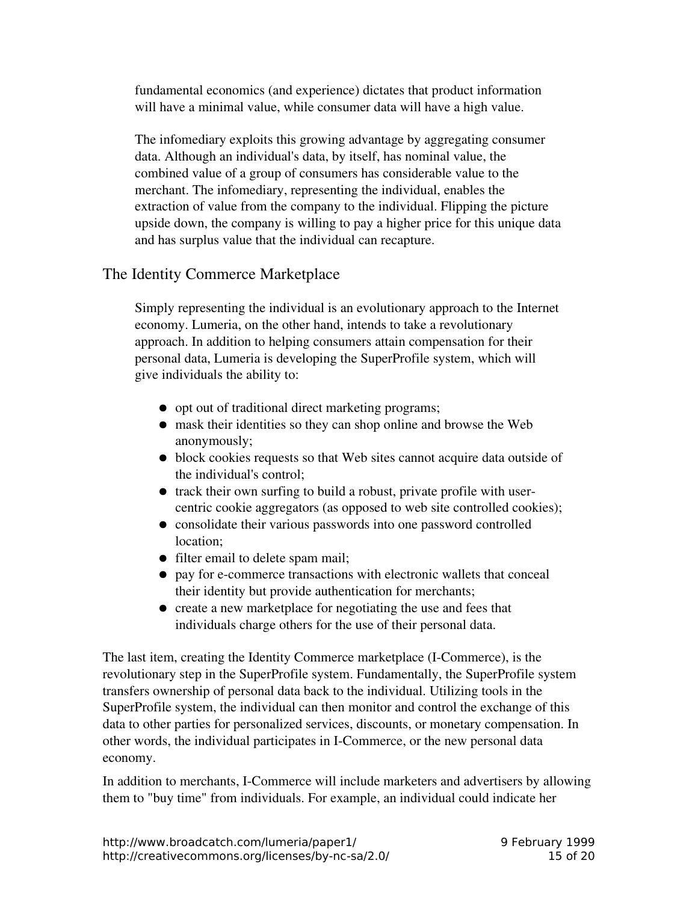fundamental economics (and experience) dictates that product information will have a minimal value, while consumer data will have a high value.

The infomediary exploits this growing advantage by aggregating consumer data. Although an individual's data, by itself, has nominal value, the combined value of a group of consumers has considerable value to the merchant. The infomediary, representing the individual, enables the extraction of value from the company to the individual. Flipping the picture upside down, the company is willing to pay a higher price for this unique data and has surplus value that the individual can recapture.

#### The Identity Commerce Marketplace

Simply representing the individual is an evolutionary approach to the Internet economy. Lumeria, on the other hand, intends to take a revolutionary approach. In addition to helping consumers attain compensation for their personal data, Lumeria is developing the SuperProfile system, which will give individuals the ability to:

- opt out of traditional direct marketing programs;
- mask their identities so they can shop online and browse the Web anonymously;
- block cookies requests so that Web sites cannot acquire data outside of the individual's control;
- track their own surfing to build a robust, private profile with usercentric cookie aggregators (as opposed to web site controlled cookies);
- consolidate their various passwords into one password controlled location;
- filter email to delete spam mail;
- pay for ecommerce transactions with electronic wallets that conceal their identity but provide authentication for merchants;
- create a new marketplace for negotiating the use and fees that individuals charge others for the use of their personal data.

The last item, creating the Identity Commerce marketplace (I-Commerce), is the revolutionary step in the SuperProfile system. Fundamentally, the SuperProfile system transfers ownership of personal data back to the individual. Utilizing tools in the SuperProfile system, the individual can then monitor and control the exchange of this data to other parties for personalized services, discounts, or monetary compensation. In other words, the individual participates in ICommerce, or the new personal data economy.

In addition to merchants, ICommerce will include marketers and advertisers by allowing them to "buy time" from individuals. For example, an individual could indicate her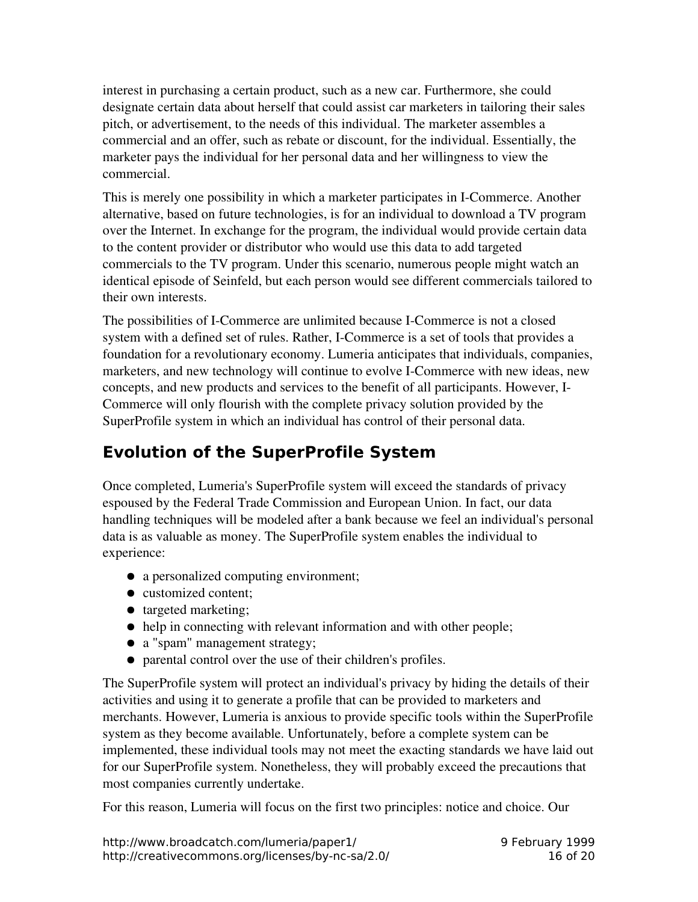interest in purchasing a certain product, such as a new car. Furthermore, she could designate certain data about herself that could assist car marketers in tailoring their sales pitch, or advertisement, to the needs of this individual. The marketer assembles a commercial and an offer, such as rebate or discount, for the individual. Essentially, the marketer pays the individual for her personal data and her willingness to view the commercial.

This is merely one possibility in which a marketer participates in I-Commerce. Another alternative, based on future technologies, is for an individual to download a TV program over the Internet. In exchange for the program, the individual would provide certain data to the content provider or distributor who would use this data to add targeted commercials to the TV program. Under this scenario, numerous people might watch an identical episode of Seinfeld, but each person would see different commercials tailored to their own interests.

The possibilities of I-Commerce are unlimited because I-Commerce is not a closed system with a defined set of rules. Rather, I-Commerce is a set of tools that provides a foundation for a revolutionary economy. Lumeria anticipates that individuals, companies, marketers, and new technology will continue to evolve I-Commerce with new ideas, new concepts, and new products and services to the benefit of all participants. However, I-Commerce will only flourish with the complete privacy solution provided by the SuperProfile system in which an individual has control of their personal data.

# **Evolution of the SuperProfile System**

Once completed, Lumeria's SuperProfile system will exceed the standards of privacy espoused by the Federal Trade Commission and European Union. In fact, our data handling techniques will be modeled after a bank because we feel an individual's personal data is as valuable as money. The SuperProfile system enables the individual to experience:

- a personalized computing environment;
- customized content;
- targeted marketing;
- help in connecting with relevant information and with other people;
- a "spam" management strategy;
- parental control over the use of their children's profiles.

The SuperProfile system will protect an individual's privacy by hiding the details of their activities and using it to generate a profile that can be provided to marketers and merchants. However, Lumeria is anxious to provide specific tools within the SuperProfile system as they become available. Unfortunately, before a complete system can be implemented, these individual tools may not meet the exacting standards we have laid out for our SuperProfile system. Nonetheless, they will probably exceed the precautions that most companies currently undertake.

For this reason, Lumeria will focus on the first two principles: notice and choice. Our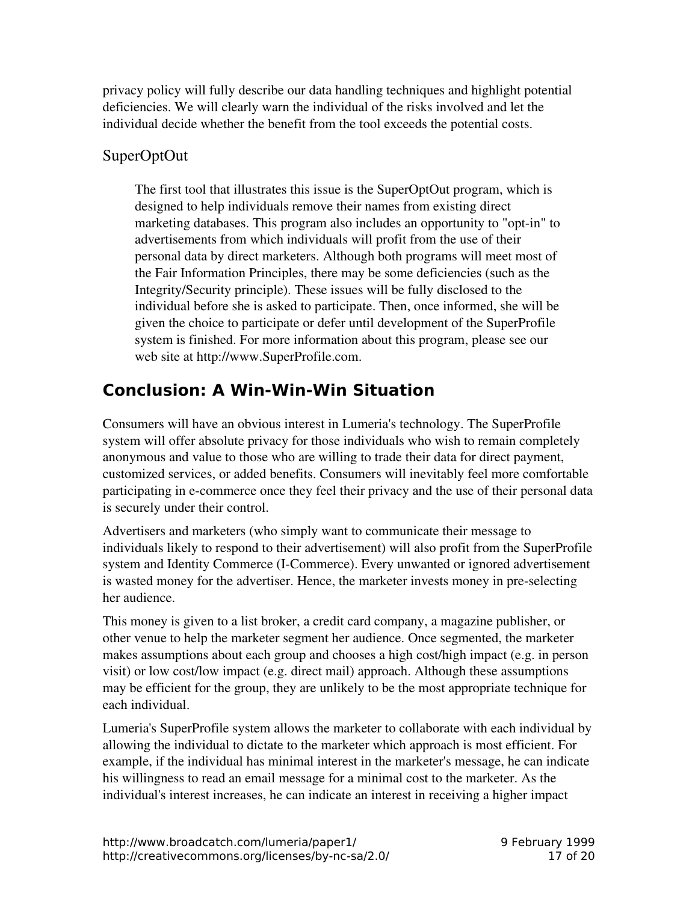privacy policy will fully describe our data handling techniques and highlight potential deficiencies. We will clearly warn the individual of the risks involved and let the individual decide whether the benefit from the tool exceeds the potential costs.

### SuperOptOut

The first tool that illustrates this issue is the SuperOptOut program, which is designed to help individuals remove their names from existing direct marketing databases. This program also includes an opportunity to "opt-in" to advertisements from which individuals will profit from the use of their personal data by direct marketers. Although both programs will meet most of the Fair Information Principles, there may be some deficiencies (such as the Integrity/Security principle). These issues will be fully disclosed to the individual before she is asked to participate. Then, once informed, she will be given the choice to participate or defer until development of the SuperProfile system is finished. For more information about this program, please see our web site at http://www.SuperProfile.com.

# **Conclusion: A Win-Win-Win Situation**

Consumers will have an obvious interest in Lumeria's technology. The SuperProfile system will offer absolute privacy for those individuals who wish to remain completely anonymous and value to those who are willing to trade their data for direct payment, customized services, or added benefits. Consumers will inevitably feel more comfortable participating in ecommerce once they feel their privacy and the use of their personal data is securely under their control.

Advertisers and marketers (who simply want to communicate their message to individuals likely to respond to their advertisement) will also profit from the SuperProfile system and Identity Commerce (I-Commerce). Every unwanted or ignored advertisement is wasted money for the advertiser. Hence, the marketer invests money in pre-selecting her audience.

This money is given to a list broker, a credit card company, a magazine publisher, or other venue to help the marketer segment her audience. Once segmented, the marketer makes assumptions about each group and chooses a high cost/high impact (e.g. in person visit) or low cost/low impact (e.g. direct mail) approach. Although these assumptions may be efficient for the group, they are unlikely to be the most appropriate technique for each individual.

Lumeria's SuperProfile system allows the marketer to collaborate with each individual by allowing the individual to dictate to the marketer which approach is most efficient. For example, if the individual has minimal interest in the marketer's message, he can indicate his willingness to read an email message for a minimal cost to the marketer. As the individual's interest increases, he can indicate an interest in receiving a higher impact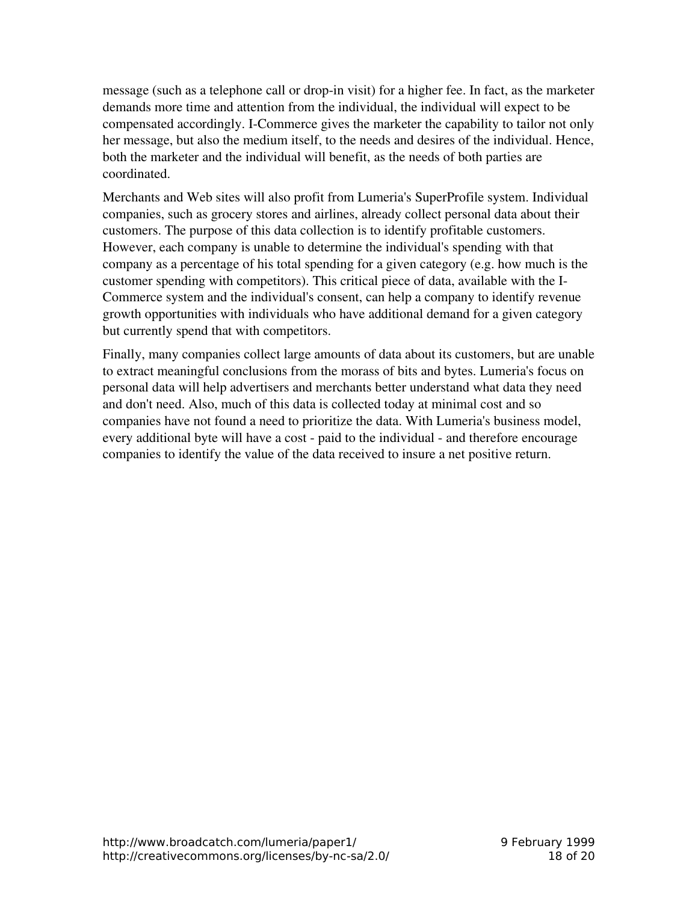message (such as a telephone call or drop-in visit) for a higher fee. In fact, as the marketer demands more time and attention from the individual, the individual will expect to be compensated accordingly. I-Commerce gives the marketer the capability to tailor not only her message, but also the medium itself, to the needs and desires of the individual. Hence, both the marketer and the individual will benefit, as the needs of both parties are coordinated.

Merchants and Web sites will also profit from Lumeria's SuperProfile system. Individual companies, such as grocery stores and airlines, already collect personal data about their customers. The purpose of this data collection is to identify profitable customers. However, each company is unable to determine the individual's spending with that company as a percentage of his total spending for a given category (e.g. how much is the customer spending with competitors). This critical piece of data, available with the I-Commerce system and the individual's consent, can help a company to identify revenue growth opportunities with individuals who have additional demand for a given category but currently spend that with competitors.

Finally, many companies collect large amounts of data about its customers, but are unable to extract meaningful conclusions from the morass of bits and bytes. Lumeria's focus on personal data will help advertisers and merchants better understand what data they need and don't need. Also, much of this data is collected today at minimal cost and so companies have not found a need to prioritize the data. With Lumeria's business model, every additional byte will have a cost - paid to the individual - and therefore encourage companies to identify the value of the data received to insure a net positive return.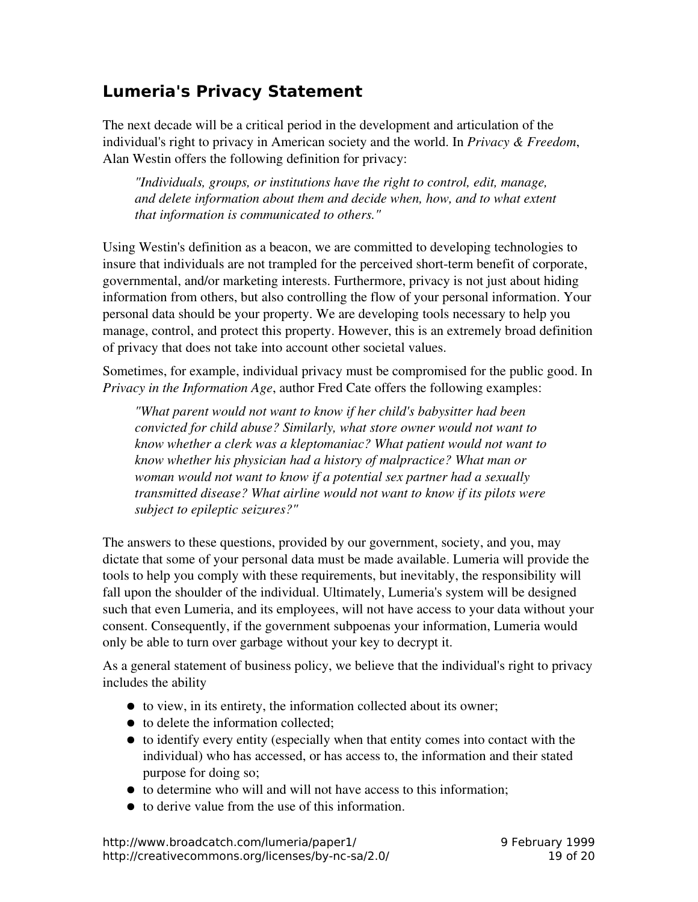### **Lumeria's Privacy Statement**

The next decade will be a critical period in the development and articulation of the individual's right to privacy in American society and the world. In *Privacy & Freedom*, Alan Westin offers the following definition for privacy:

*"Individuals, groups, or institutions have the right to control, edit, manage, and delete information about them and decide when, how, and to what extent that information is communicated to others."*

Using Westin's definition as a beacon, we are committed to developing technologies to insure that individuals are not trampled for the perceived short-term benefit of corporate, governmental, and/or marketing interests. Furthermore, privacy is not just about hiding information from others, but also controlling the flow of your personal information. Your personal data should be your property. We are developing tools necessary to help you manage, control, and protect this property. However, this is an extremely broad definition of privacy that does not take into account other societal values.

Sometimes, for example, individual privacy must be compromised for the public good. In *Privacy in the Information Age*, author Fred Cate offers the following examples:

*"What parent would not want to know if her child's babysitter had been convicted for child abuse? Similarly, what store owner would not want to know whether a clerk was a kleptomaniac? What patient would not want to know whether his physician had a history of malpractice? What man or woman would not want to know if a potential sex partner had a sexually transmitted disease? What airline would not want to know if its pilots were subject to epileptic seizures?"*

The answers to these questions, provided by our government, society, and you, may dictate that some of your personal data must be made available. Lumeria will provide the tools to help you comply with these requirements, but inevitably, the responsibility will fall upon the shoulder of the individual. Ultimately, Lumeria's system will be designed such that even Lumeria, and its employees, will not have access to your data without your consent. Consequently, if the government subpoenas your information, Lumeria would only be able to turn over garbage without your key to decrypt it.

As a general statement of business policy, we believe that the individual's right to privacy includes the ability

- to view, in its entirety, the information collected about its owner;
- to delete the information collected:
- to identify every entity (especially when that entity comes into contact with the individual) who has accessed, or has access to, the information and their stated purpose for doing so;
- to determine who will and will not have access to this information;
- to derive value from the use of this information.

http://www.broadcatch.com/lumeria/paper1/ 9 February 1999 http://creativecommons.org/licenses/by-nc-sa/2.0/ 19 0f 20